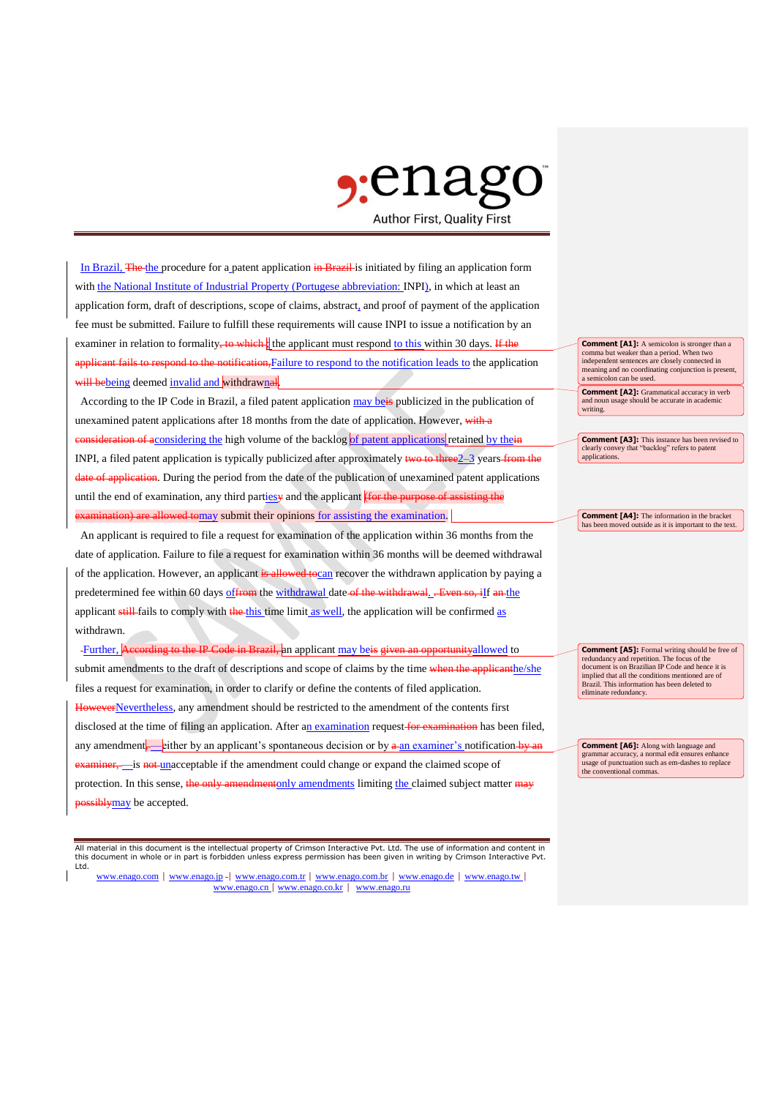## $\gamma$ :ena **Author First, Quality First**

In Brazil, The the procedure for a patent application in Brazil is initiated by filing an application form with the National Institute of Industrial Property (Portugese abbreviation: INPI), in which at least an application form, draft of descriptions, scope of claims, abstract, and proof of payment of the application fee must be submitted. Failure to fulfill these requirements will cause INPI to issue a notification by an examiner in relation to formality, to which. the applicant must respond to this within 30 days. If the applicant fails to respond to the notification, Failure to respond to the notification leads to the application will bebeing deemed invalid and withdrawnal.

According to the IP Code in Brazil, a filed patent application may beis publicized in the publication of unexamined patent applications after 18 months from the date of application. However, with a of aconsidering the high volume of the backlog of patent applications retained by the INPI, a filed patent application is typically publicized after approximately two to three<sup>2–3</sup> years from the date of application. During the period from the date of the publication of unexamined patent applications until the end of examination, any third parties and the applicant  $\frac{1}{\pi}$  for the purpose of a are allowed tomay submit their opinions for assisting the examination.

An applicant is required to file a request for examination of the application within 36 months from the date of application. Failure to file a request for examination within 36 months will be deemed withdrawal of the application. However, an applicant is allowed to can recover the withdrawn application by paying a predetermined fee within 60 days of from the withdrawal date of the withdrawal. . Even so, if an the applicant still fails to comply with the this time limit as well, the application will be confirmed as withdrawn.

-Further, According to the IP Code in Brazil, an applicant may beis given an opportunityallowed to submit amendments to the draft of descriptions and scope of claims by the time when the applicanthe/she files a request for examination, in order to clarify or define the contents of filed application. HoweverNevertheless, any amendment should be restricted to the amendment of the contents first disclosed at the time of filing an application. After an examination request for examination has been filed,

any amendment, either by an applicant's spontaneous decision or by  $\alpha$ -an examiner's notification-by is not unacceptable if the amendment could change or expand the claimed scope of protection. In this sense, the only amendmentonly amendments limiting the claimed subject matter may **bossiblymay** be accepted.

All material in this document is the intellectual property of Crimson Interactive Pvt. Ltd. The use of information and content in this document in whole or in part is forbidden unless express permission has been given in writing by Crimson Interactive Pvt. Ltd.

www.enago.com | www.enago.jp - www.enago.com.tr | www.enago.com.br | www.enago.de | www.enago.tw | www.enago.cn | www.enago.co.kr | www.enago.ru

**Comment [A1]:** A semicolon is stronger than a comma but weaker than a period. When two independent sentences are closely connected in meaning and no coordinating conjunction is present, a semicolon can be used.

**Comment [A2]:** Grammatical accuracy in verb and noun usage should be accurate in academic writing.

**Comment [A3]:** This instance has been revised to clearly convey that "backlog" refers to patent applications.

**Comment [A4]:** The information in the bracket has been moved outside as it is important to the text.

**Comment [A5]:** Formal writing should be free of redundancy and repetition. The focus of the document is on Brazilian IP Code and hence it is implied that all the conditions mentioned are of Brazil. This information has been deleted to eliminate redundancy.

**Comment [A6]:** Along with language and ar accuracy, a normal edit ensures enhance usage of punctuation such as em-dashes to replace the conventional commas.